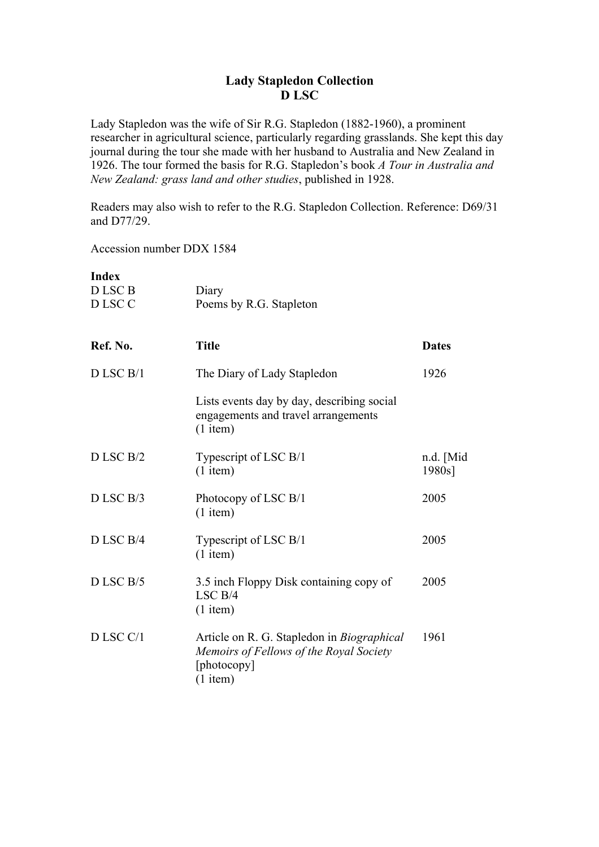## **Lady Stapledon Collection D LSC**

Lady Stapledon was the wife of Sir R.G. Stapledon (1882-1960), a prominent researcher in agricultural science, particularly regarding grasslands. She kept this day journal during the tour she made with her husband to Australia and New Zealand in 1926. The tour formed the basis for R.G. Stapledon's book *A Tour in Australia and New Zealand: grass land and other studies*, published in 1928.

Readers may also wish to refer to the R.G. Stapledon Collection. Reference: D69/31 and D77/29.

Accession number DDX 1584

| <b>Index</b><br>D LSC B<br>D LSC C | Diary<br>Poems by R.G. Stapleton                                                                                   |                     |
|------------------------------------|--------------------------------------------------------------------------------------------------------------------|---------------------|
| Ref. No.                           | <b>Title</b>                                                                                                       | <b>Dates</b>        |
| $D$ LSC $B/1$                      | The Diary of Lady Stapledon                                                                                        | 1926                |
|                                    | Lists events day by day, describing social<br>engagements and travel arrangements<br>$(1$ item)                    |                     |
| D LSC B/2                          | Typescript of LSC B/1<br>$(1$ item)                                                                                | n.d. [Mid<br>1980s] |
| D LSC B/3                          | Photocopy of LSC B/1<br>$(1$ item)                                                                                 | 2005                |
| D LSC B/4                          | Typescript of LSC B/1<br>$(1$ item)                                                                                | 2005                |
| DLSC B/5                           | 3.5 inch Floppy Disk containing copy of<br>LSCB/4<br>$(1$ item)                                                    | 2005                |
| D LSC C/1                          | Article on R. G. Stapledon in Biographical<br>Memoirs of Fellows of the Royal Society<br>[photocopy]<br>$(1$ item) | 1961                |